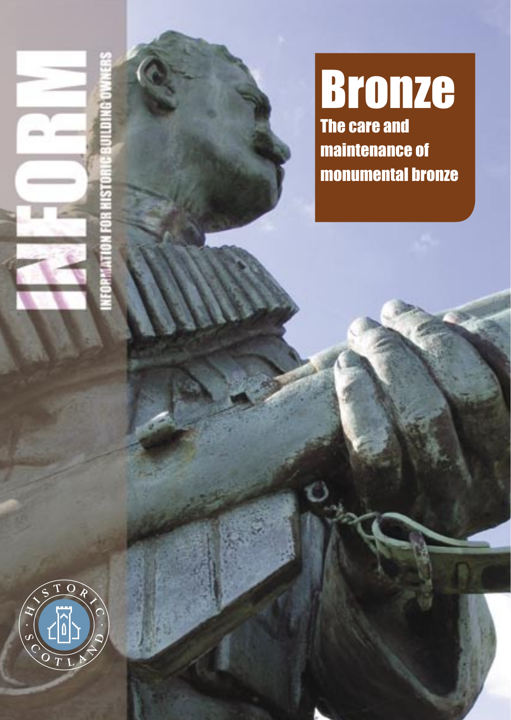



**Bronze** maintenance of monumental bronze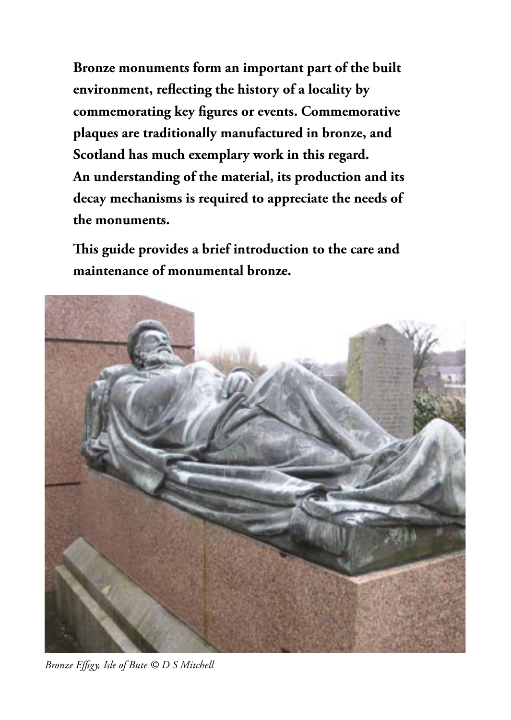**Bronze monuments form an important part of the built environment, reflecting the history of a locality by commemorating key figures or events. Commemorative plaques are traditionally manufactured in bronze, and Scotland has much exemplary work in this regard. An understanding of the material, its production and its decay mechanisms is required to appreciate the needs of the monuments.** 

**This guide provides a brief introduction to the care and maintenance of monumental bronze.**



*Bronze Effigy, Isle of Bute © D S Mitchell*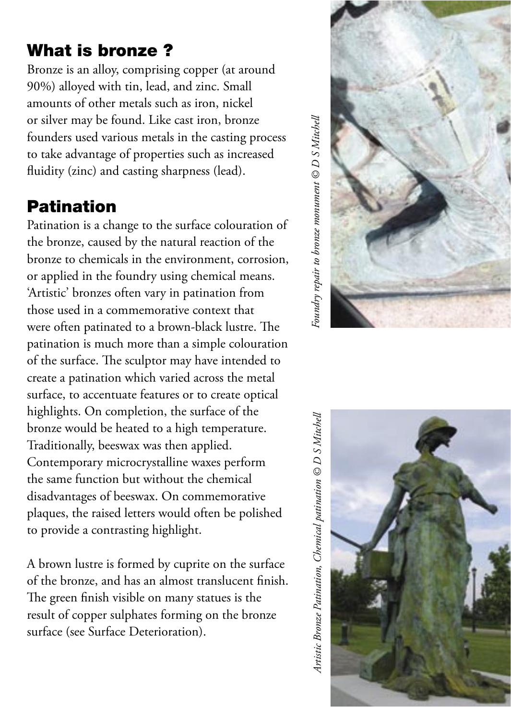## What is bronze ?

Bronze is an alloy, comprising copper (at around 90%) alloyed with tin, lead, and zinc. Small amounts of other metals such as iron, nickel or silver may be found. Like cast iron, bronze founders used various metals in the casting process to take advantage of properties such as increased fluidity (zinc) and casting sharpness (lead).

# Patination

Patination is a change to the surface colouration of the bronze, caused by the natural reaction of the bronze to chemicals in the environment, corrosion, or applied in the foundry using chemical means. 'Artistic' bronzes often vary in patination from those used in a commemorative context that were often patinated to a brown-black lustre. The patination is much more than a simple colouration of the surface. The sculptor may have intended to create a patination which varied across the metal surface, to accentuate features or to create optical highlights. On completion, the surface of the bronze would be heated to a high temperature. Traditionally, beeswax was then applied. Contemporary microcrystalline waxes perform the same function but without the chemical disadvantages of beeswax. On commemorative plaques, the raised letters would often be polished to provide a contrasting highlight.

A brown lustre is formed by cuprite on the surface of the bronze, and has an almost translucent finish. The green finish visible on many statues is the result of copper sulphates forming on the bronze surface (see Surface Deterioration).

 $\bar{c}$ oundry repair to bronze monument  $\circledcirc D$  S Mitchell *Foundry repair to bronze monument © D S Mitchell*



Artistic Bronze Patination, Chemical patination © D S Mitchell *Artistic Bronze Patination, Chemical patination © D S Mitchell*

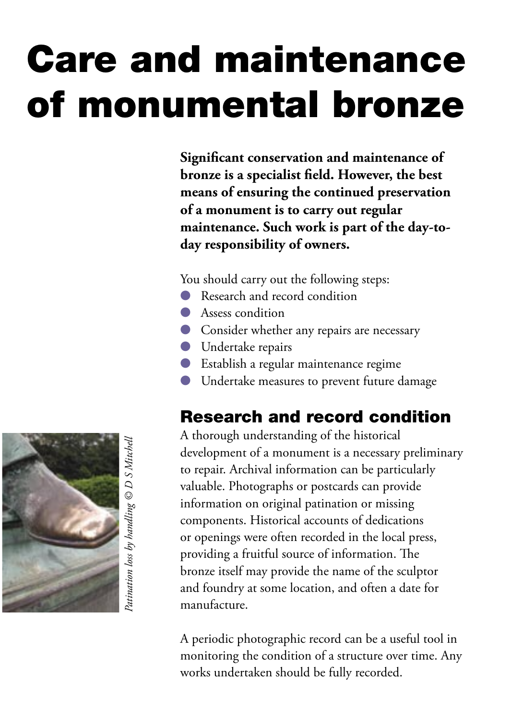# Care and maintenance of monumental bronze

**Significant conservation and maintenance of bronze is a specialist field. However, the best means of ensuring the continued preservation of a monument is to carry out regular maintenance. Such work is part of the day-today responsibility of owners.** 

You should carry out the following steps:

- Research and record condition
- Assess condition
- Consider whether any repairs are necessary
- Undertake repairs
- Establish a regular maintenance regime
- Undertake measures to prevent future damage

## Research and record condition

A thorough understanding of the historical development of a monument is a necessary preliminary to repair. Archival information can be particularly valuable. Photographs or postcards can provide information on original patination or missing components. Historical accounts of dedications or openings were often recorded in the local press, providing a fruitful source of information. The bronze itself may provide the name of the sculptor and foundry at some location, and often a date for manufacture.

A periodic photographic record can be a useful tool in monitoring the condition of a structure over time. Any works undertaken should be fully recorded.

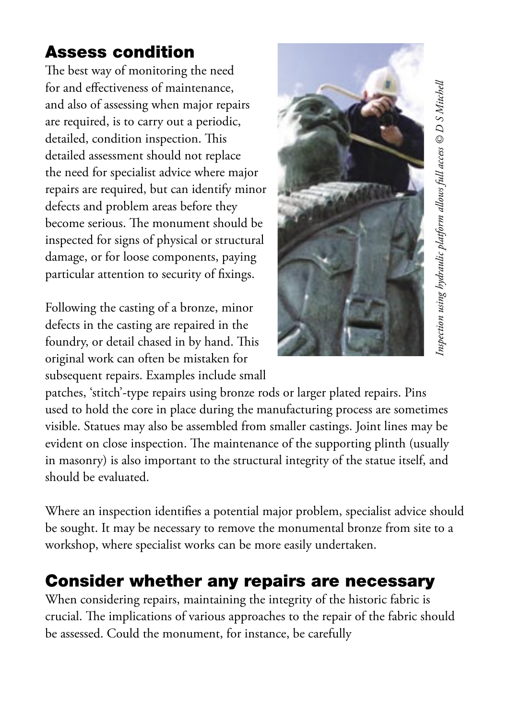## Assess condition

The best way of monitoring the need for and effectiveness of maintenance, and also of assessing when major repairs are required, is to carry out a periodic, detailed, condition inspection. This detailed assessment should not replace the need for specialist advice where major repairs are required, but can identify minor defects and problem areas before they become serious. The monument should be inspected for signs of physical or structural damage, or for loose components, paying particular attention to security of fixings.

Following the casting of a bronze, minor defects in the casting are repaired in the foundry, or detail chased in by hand. This original work can often be mistaken for subsequent repairs. Examples include small



patches, 'stitch'-type repairs using bronze rods or larger plated repairs. Pins used to hold the core in place during the manufacturing process are sometimes visible. Statues may also be assembled from smaller castings. Joint lines may be evident on close inspection. The maintenance of the supporting plinth (usually in masonry) is also important to the structural integrity of the statue itself, and should be evaluated.

Where an inspection identifies a potential major problem, specialist advice should be sought. It may be necessary to remove the monumental bronze from site to a workshop, where specialist works can be more easily undertaken.

## Consider whether any repairs are necessary

When considering repairs, maintaining the integrity of the historic fabric is crucial. The implications of various approaches to the repair of the fabric should be assessed. Could the monument, for instance, be carefully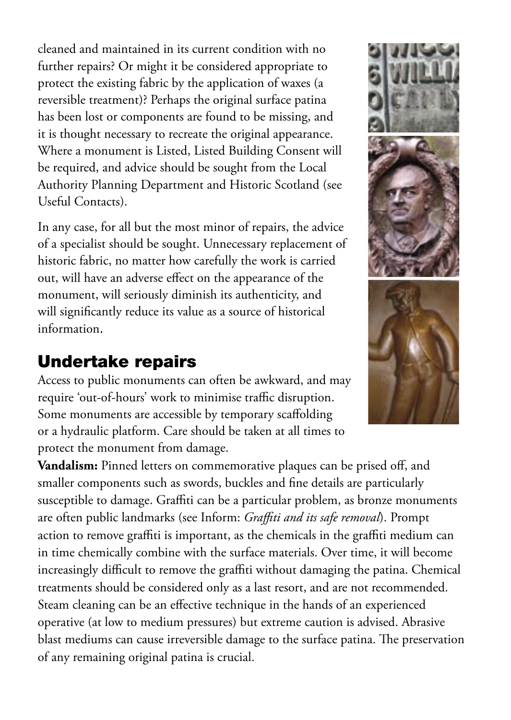cleaned and maintained in its current condition with no further repairs? Or might it be considered appropriate to protect the existing fabric by the application of waxes (a reversible treatment)? Perhaps the original surface patina has been lost or components are found to be missing, and it is thought necessary to recreate the original appearance. Where a monument is Listed, Listed Building Consent will be required, and advice should be sought from the Local Authority Planning Department and Historic Scotland (see Useful Contacts).

In any case, for all but the most minor of repairs, the advice of a specialist should be sought. Unnecessary replacement of historic fabric, no matter how carefully the work is carried out, will have an adverse effect on the appearance of the monument, will seriously diminish its authenticity, and will significantly reduce its value as a source of historical information.

## Undertake repairs

Access to public monuments can often be awkward, and may require 'out-of-hours' work to minimise traffic disruption. Some monuments are accessible by temporary scaffolding or a hydraulic platform. Care should be taken at all times to protect the monument from damage.

**Vandalism:** Pinned letters on commemorative plaques can be prised off, and smaller components such as swords, buckles and fine details are particularly susceptible to damage. Graffiti can be a particular problem, as bronze monuments are often public landmarks (see Inform: *Graffiti and its safe removal*). Prompt action to remove graffiti is important, as the chemicals in the graffiti medium can in time chemically combine with the surface materials. Over time, it will become increasingly difficult to remove the graffiti without damaging the patina. Chemical treatments should be considered only as a last resort, and are not recommended. Steam cleaning can be an effective technique in the hands of an experienced operative (at low to medium pressures) but extreme caution is advised. Abrasive blast mediums can cause irreversible damage to the surface patina. The preservation of any remaining original patina is crucial.

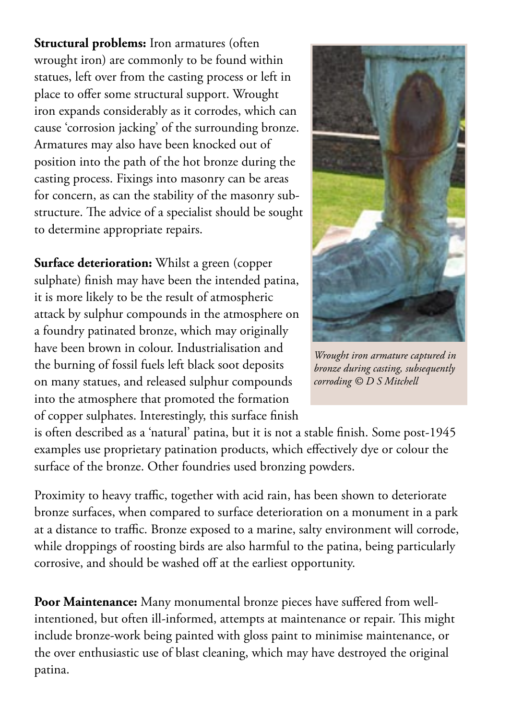**Structural problems:** Iron armatures (often wrought iron) are commonly to be found within statues, left over from the casting process or left in place to offer some structural support. Wrought iron expands considerably as it corrodes, which can cause 'corrosion jacking' of the surrounding bronze. Armatures may also have been knocked out of position into the path of the hot bronze during the casting process. Fixings into masonry can be areas for concern, as can the stability of the masonry substructure. The advice of a specialist should be sought to determine appropriate repairs.

**Surface deterioration:** Whilst a green (copper sulphate) finish may have been the intended patina, it is more likely to be the result of atmospheric attack by sulphur compounds in the atmosphere on a foundry patinated bronze, which may originally have been brown in colour. Industrialisation and the burning of fossil fuels left black soot deposits on many statues, and released sulphur compounds into the atmosphere that promoted the formation of copper sulphates. Interestingly, this surface finish



*Wrought iron armature captured in bronze during casting, subsequently corroding © D S Mitchell*

is often described as a 'natural' patina, but it is not a stable finish. Some post-1945 examples use proprietary patination products, which effectively dye or colour the surface of the bronze. Other foundries used bronzing powders.

Proximity to heavy traffic, together with acid rain, has been shown to deteriorate bronze surfaces, when compared to surface deterioration on a monument in a park at a distance to traffic. Bronze exposed to a marine, salty environment will corrode, while droppings of roosting birds are also harmful to the patina, being particularly corrosive, and should be washed off at the earliest opportunity.

**Poor Maintenance:** Many monumental bronze pieces have suffered from wellintentioned, but often ill-informed, attempts at maintenance or repair. This might include bronze-work being painted with gloss paint to minimise maintenance, or the over enthusiastic use of blast cleaning, which may have destroyed the original patina.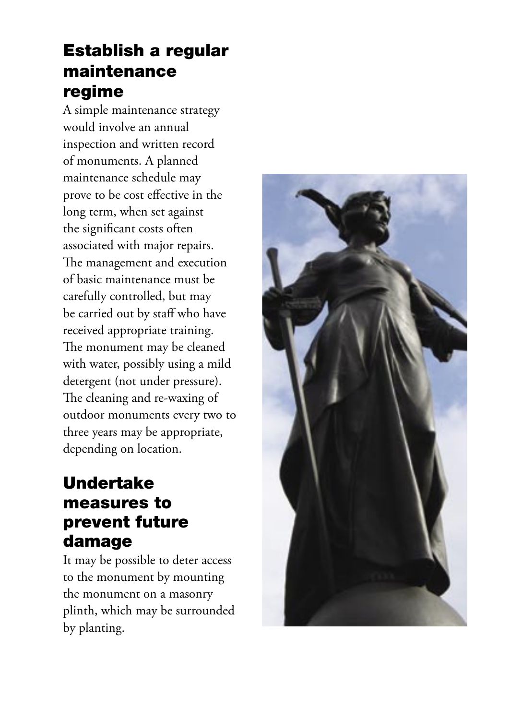## Establish a regular maintenance regime

A simple maintenance strategy would involve an annual inspection and written record of monuments. A planned maintenance schedule may prove to be cost effective in the long term, when set against the significant costs often associated with major repairs. The management and execution of basic maintenance must be carefully controlled, but may be carried out by staff who have received appropriate training. The monument may be cleaned with water, possibly using a mild detergent (not under pressure). The cleaning and re-waxing of outdoor monuments every two to three years may be appropriate, depending on location.

### Undertake measures to prevent future damage

It may be possible to deter access to the monument by mounting the monument on a masonry plinth, which may be surrounded by planting.